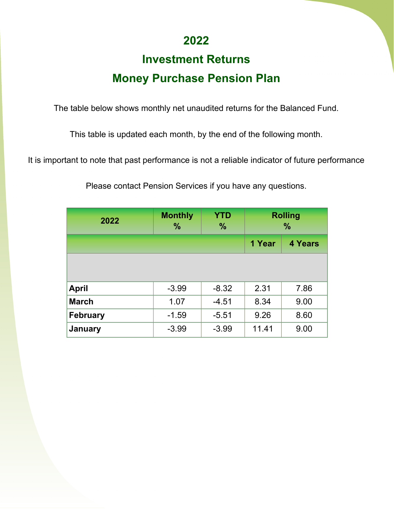## **2022**

## **Investment Returns Money Purchase Pension Plan**

The table below shows monthly net unaudited returns for the Balanced Fund.

This table is updated each month, by the end of the following month.

It is important to note that past performance is not a reliable indicator of future performance

| 2022            | <b>Monthly</b><br>$\frac{9}{6}$ | <b>YTD</b><br>$\frac{0}{0}$ | <b>Rolling</b><br>$\frac{9}{6}$ |                |
|-----------------|---------------------------------|-----------------------------|---------------------------------|----------------|
|                 |                                 |                             | 1 Year                          | <b>4 Years</b> |
|                 |                                 |                             |                                 |                |
| <b>April</b>    | $-3.99$                         | $-8.32$                     | 2.31                            | 7.86           |
| <b>March</b>    | 1.07                            | $-4.51$                     | 8.34                            | 9.00           |
| <b>February</b> | $-1.59$                         | $-5.51$                     | 9.26                            | 8.60           |
| January         | $-3.99$                         | $-3.99$                     | 11.41                           | 9.00           |

Please contact Pension Services if you have any questions.